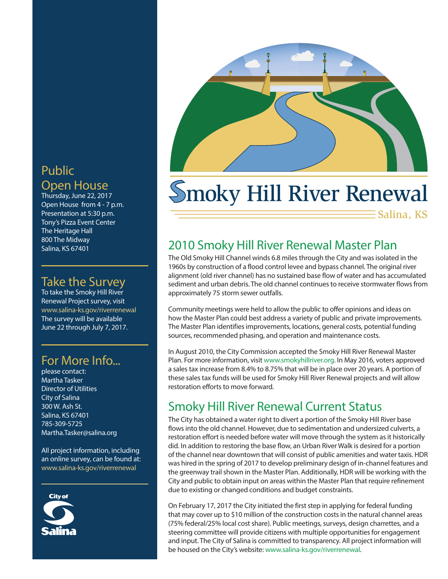# Public

#### Open House

Thursday, June 22, 2017 Open House from 4 - 7 p.m. Presentation at 5:30 p.m. Tony's Pizza Event Center The Heritage Hall 800 The Midway Salina, KS 67401

#### Take the Survey

To take the Smoky Hill River Renewal Project survey, visit www.salina-ks.gov/riverrenewal The survey will be available June 22 through July 7, 2017.

### For More Info...

please contact: Martha Tasker Director of Utilities City of Salina 300 W. Ash St. Salina, KS 67401 785-309-5725 Martha.Tasker@salina.org

All project information, including an online survey, can be found at: www.salina-ks.gov/riverrenewal





# moky Hill River Renewal

Salina, KS

# 2010 Smoky Hill River Renewal Master Plan

The Old Smoky Hill Channel winds 6.8 miles through the City and was isolated in the 1960s by construction of a flood control levee and bypass channel. The original river alignment (old river channel) has no sustained base flow of water and has accumulated sediment and urban debris. The old channel continues to receive stormwater flows from approximately 75 storm sewer outfalls.

Community meetings were held to allow the public to offer opinions and ideas on how the Master Plan could best address a variety of public and private improvements. The Master Plan identifies improvements, locations, general costs, potential funding sources, recommended phasing, and operation and maintenance costs.

In August 2010, the City Commission accepted the Smoky Hill River Renewal Master Plan. For more information, visit www.smokyhillriver.org. In May 2016, voters approved a sales tax increase from 8.4% to 8.75% that will be in place over 20 years. A portion of these sales tax funds will be used for Smoky Hill River Renewal projects and will allow restoration efforts to move forward.

# Smoky Hill River Renewal Current Status

The City has obtained a water right to divert a portion of the Smoky Hill River base flows into the old channel. However, due to sedimentation and undersized culverts, a restoration effort is needed before water will move through the system as it historically did. In addition to restoring the base flow, an Urban River Walk is desired for a portion of the channel near downtown that will consist of public amenities and water taxis. HDR was hired in the spring of 2017 to develop preliminary design of in-channel features and the greenway trail shown in the Master Plan. Additionally, HDR will be working with the City and public to obtain input on areas within the Master Plan that require refinement due to existing or changed conditions and budget constraints.

On February 17, 2017 the City initiated the first step in applying for federal funding that may cover up to \$10 million of the construction costs in the natural channel areas (75% federal/25% local cost share). Public meetings, surveys, design charrettes, and a steering committee will provide citizens with multiple opportunities for engagement and input. The City of Salina is committed to transparency. All project information will be housed on the City's website: www.salina-ks.gov/riverrenewal.